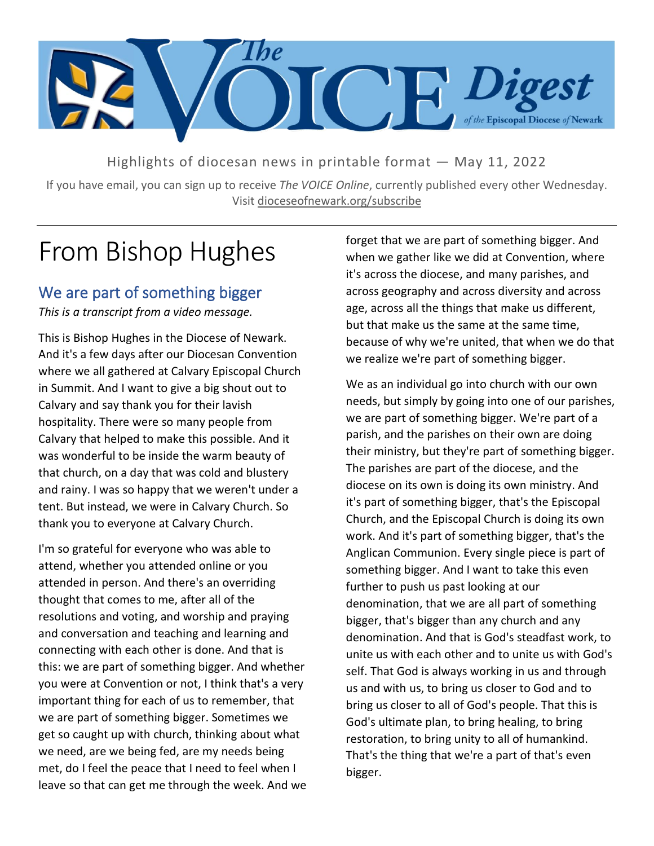

Highlights of diocesan news in printable format — May 11, 2022

If you have email, you can sign up to receive *The VOICE Online*, currently published every other Wednesday. Visit dioceseofnewark.org/subscribe

# From Bishop Hughes

# We are part of something bigger

*This is a transcript from a video message.*

This is Bishop Hughes in the Diocese of Newark. And it's a few days after our Diocesan Convention where we all gathered at Calvary Episcopal Church in Summit. And I want to give a big shout out to Calvary and say thank you for their lavish hospitality. There were so many people from Calvary that helped to make this possible. And it was wonderful to be inside the warm beauty of that church, on a day that was cold and blustery and rainy. I was so happy that we weren't under a tent. But instead, we were in Calvary Church. So thank you to everyone at Calvary Church.

I'm so grateful for everyone who was able to attend, whether you attended online or you attended in person. And there's an overriding thought that comes to me, after all of the resolutions and voting, and worship and praying and conversation and teaching and learning and connecting with each other is done. And that is this: we are part of something bigger. And whether you were at Convention or not, I think that's a very important thing for each of us to remember, that we are part of something bigger. Sometimes we get so caught up with church, thinking about what we need, are we being fed, are my needs being met, do I feel the peace that I need to feel when I leave so that can get me through the week. And we forget that we are part of something bigger. And when we gather like we did at Convention, where it's across the diocese, and many parishes, and across geography and across diversity and across age, across all the things that make us different, but that make us the same at the same time, because of why we're united, that when we do that we realize we're part of something bigger.

We as an individual go into church with our own needs, but simply by going into one of our parishes, we are part of something bigger. We're part of a parish, and the parishes on their own are doing their ministry, but they're part of something bigger. The parishes are part of the diocese, and the diocese on its own is doing its own ministry. And it's part of something bigger, that's the Episcopal Church, and the Episcopal Church is doing its own work. And it's part of something bigger, that's the Anglican Communion. Every single piece is part of something bigger. And I want to take this even further to push us past looking at our denomination, that we are all part of something bigger, that's bigger than any church and any denomination. And that is God's steadfast work, to unite us with each other and to unite us with God's self. That God is always working in us and through us and with us, to bring us closer to God and to bring us closer to all of God's people. That this is God's ultimate plan, to bring healing, to bring restoration, to bring unity to all of humankind. That's the thing that we're a part of that's even bigger.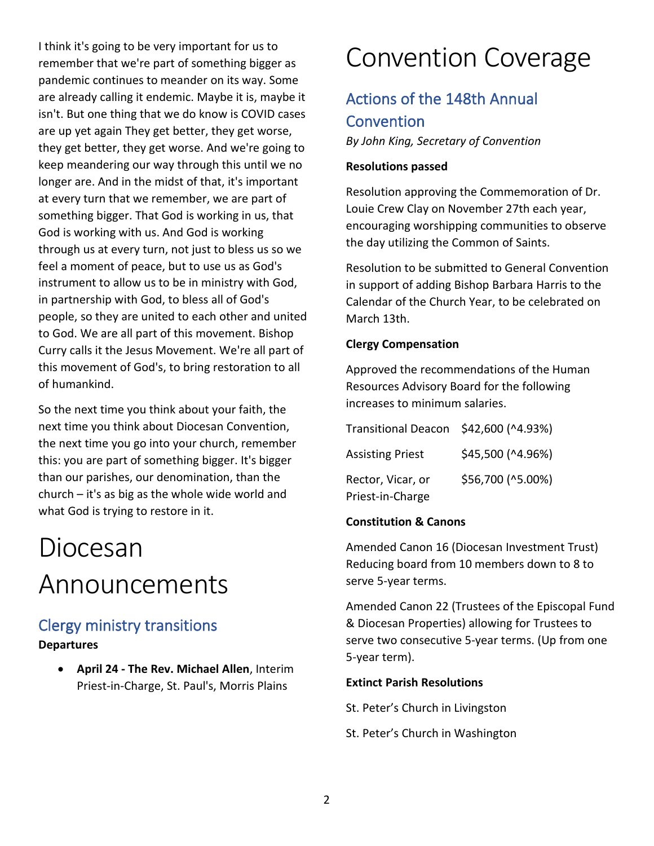I think it's going to be very important for us to remember that we're part of something bigger as pandemic continues to meander on its way. Some are already calling it endemic. Maybe it is, maybe it isn't. But one thing that we do know is COVID cases are up yet again They get better, they get worse, they get better, they get worse. And we're going to keep meandering our way through this until we no longer are. And in the midst of that, it's important at every turn that we remember, we are part of something bigger. That God is working in us, that God is working with us. And God is working through us at every turn, not just to bless us so we feel a moment of peace, but to use us as God's instrument to allow us to be in ministry with God, in partnership with God, to bless all of God's people, so they are united to each other and united to God. We are all part of this movement. Bishop Curry calls it the Jesus Movement. We're all part of this movement of God's, to bring restoration to all of humankind.

So the next time you think about your faith, the next time you think about Diocesan Convention, the next time you go into your church, remember this: you are part of something bigger. It's bigger than our parishes, our denomination, than the church – it's as big as the whole wide world and what God is trying to restore in it.

# Diocesan Announcements

# Clergy ministry transitions **Departures**

• **April 24 - The Rev. Michael Allen**, Interim Priest-in-Charge, St. Paul's, Morris Plains

# Convention Coverage

# Actions of the 148th Annual **Convention**

*By John King, Secretary of Convention*

### **Resolutions passed**

Resolution approving the Commemoration of Dr. Louie Crew Clay on November 27th each year, encouraging worshipping communities to observe the day utilizing the Common of Saints.

Resolution to be submitted to General Convention in support of adding Bishop Barbara Harris to the Calendar of the Church Year, to be celebrated on March 13th.

#### **Clergy Compensation**

Approved the recommendations of the Human Resources Advisory Board for the following increases to minimum salaries.

| Transitional Deacon \$42,600 (^4.93%) |                   |
|---------------------------------------|-------------------|
| <b>Assisting Priest</b>               | \$45,500 (^4.96%) |
| Rector, Vicar, or                     | \$56,700 (^5.00%) |
| Priest-in-Charge                      |                   |

### **Constitution & Canons**

Amended Canon 16 (Diocesan Investment Trust) Reducing board from 10 members down to 8 to serve 5-year terms.

Amended Canon 22 (Trustees of the Episcopal Fund & Diocesan Properties) allowing for Trustees to serve two consecutive 5-year terms. (Up from one 5-year term).

#### **Extinct Parish Resolutions**

St. Peter's Church in Livingston

St. Peter's Church in Washington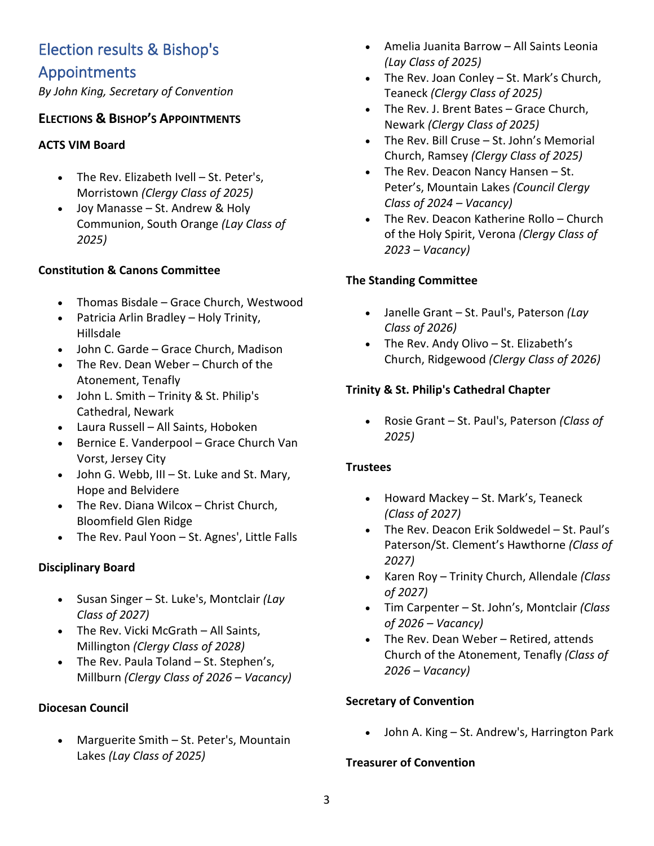# Election results & Bishop's Appointments

*By John King, Secretary of Convention*

# **ELECTIONS & BISHOP'S APPOINTMENTS**

## **ACTS VIM Board**

- The Rev. Elizabeth Ivell St. Peter's, Morristown *(Clergy Class of 2025)*
- Joy Manasse St. Andrew & Holy Communion, South Orange *(Lay Class of 2025)*

## **Constitution & Canons Committee**

- Thomas Bisdale Grace Church, Westwood
- Patricia Arlin Bradley Holy Trinity, Hillsdale
- John C. Garde Grace Church, Madison
- The Rev. Dean Weber Church of the Atonement, Tenafly
- John L. Smith Trinity & St. Philip's Cathedral, Newark
- Laura Russell All Saints, Hoboken
- Bernice E. Vanderpool Grace Church Van Vorst, Jersey City
- John G. Webb, III St. Luke and St. Mary, Hope and Belvidere
- The Rev. Diana Wilcox Christ Church, Bloomfield Glen Ridge
- The Rev. Paul Yoon St. Agnes', Little Falls

# **Disciplinary Board**

- Susan Singer St. Luke's, Montclair *(Lay Class of 2027)*
- The Rev. Vicki McGrath All Saints, Millington *(Clergy Class of 2028)*
- The Rev. Paula Toland St. Stephen's, Millburn *(Clergy Class of 2026 – Vacancy)*

### **Diocesan Council**

• Marguerite Smith – St. Peter's, Mountain Lakes *(Lay Class of 2025)*

- Amelia Juanita Barrow All Saints Leonia *(Lay Class of 2025)*
- The Rev. Joan Conley St. Mark's Church, Teaneck *(Clergy Class of 2025)*
- The Rev. J. Brent Bates Grace Church, Newark *(Clergy Class of 2025)*
- The Rev. Bill Cruse St. John's Memorial Church, Ramsey *(Clergy Class of 2025)*
- The Rev. Deacon Nancy Hansen St. Peter's, Mountain Lakes *(Council Clergy Class of 2024 – Vacancy)*
- The Rev. Deacon Katherine Rollo Church of the Holy Spirit, Verona *(Clergy Class of 2023 – Vacancy)*

# **The Standing Committee**

- Janelle Grant St. Paul's, Paterson *(Lay Class of 2026)*
- The Rev. Andy Olivo St. Elizabeth's Church, Ridgewood *(Clergy Class of 2026)*

# **Trinity & St. Philip's Cathedral Chapter**

• Rosie Grant – St. Paul's, Paterson *(Class of 2025)*

### **Trustees**

- Howard Mackey St. Mark's, Teaneck *(Class of 2027)*
- The Rev. Deacon Erik Soldwedel St. Paul's Paterson/St. Clement's Hawthorne *(Class of 2027)*
- Karen Roy Trinity Church, Allendale *(Class of 2027)*
- Tim Carpenter St. John's, Montclair *(Class of 2026 – Vacancy)*
- The Rev. Dean Weber Retired, attends Church of the Atonement, Tenafly *(Class of 2026 – Vacancy)*

# **Secretary of Convention**

• John A. King – St. Andrew's, Harrington Park

### **Treasurer of Convention**